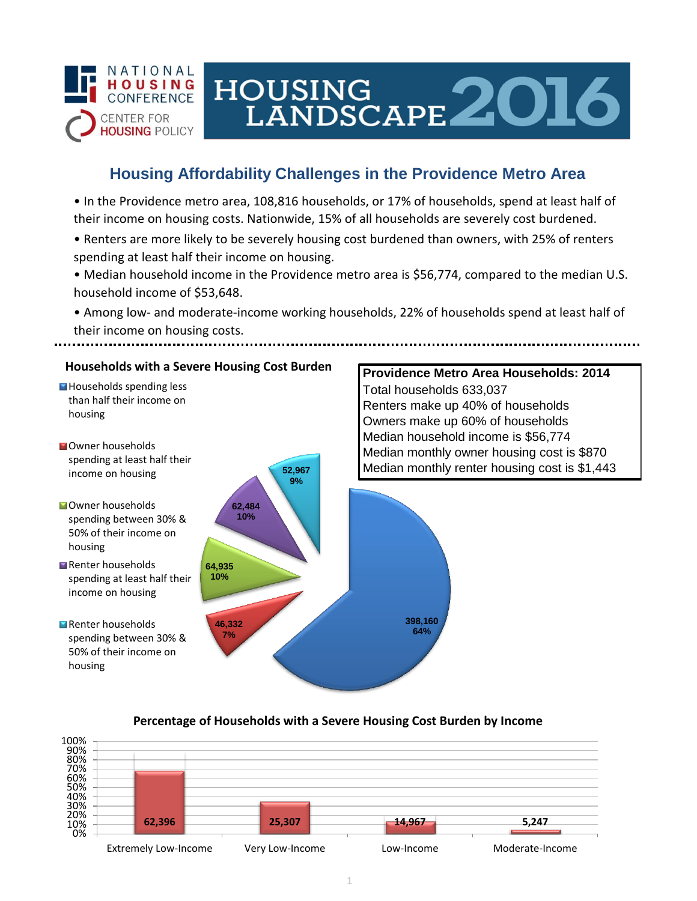

# HOUSING LANDSCAPE 2016

## **Housing Affordability Challenges in the Providence Metro Area**

• In the Providence metro area, 108,816 households, or 17% of households, spend at least half of their income on housing costs. Nationwide, 15% of all households are severely cost burdened.

- Renters are more likely to be severely housing cost burdened than owners, with 25% of renters spending at least half their income on housing.
- Median household income in the Providence metro area is \$56,774, compared to the median U.S. household income of \$53,648.

• Among low- and moderate-income working households, 22% of households spend at least half of their income on housing costs.



### **Percentage of Households with a Severe Housing Cost Burden by Income**